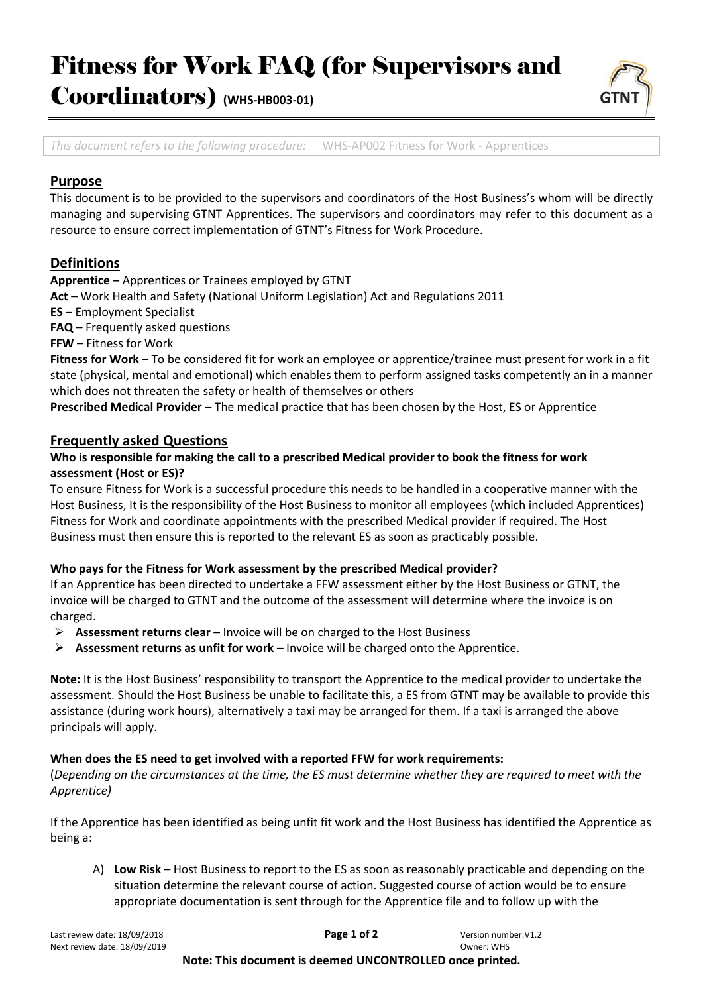## Fitness for Work FAQ (for Supervisors and

Coordinators) **(WHS-HB003-01)**



*This document refers to the following procedure:* WHS-AP002 Fitness for Work - Apprentices

#### **Purpose**

This document is to be provided to the supervisors and coordinators of the Host Business's whom will be directly managing and supervising GTNT Apprentices. The supervisors and coordinators may refer to this document as a resource to ensure correct implementation of GTNT's Fitness for Work Procedure.

### **Definitions**

**Apprentice –** Apprentices or Trainees employed by GTNT

**Act** – Work Health and Safety (National Uniform Legislation) Act and Regulations 2011

**ES** – Employment Specialist

**FAQ** – Frequently asked questions

**FFW** – Fitness for Work

**Fitness for Work** – To be considered fit for work an employee or apprentice/trainee must present for work in a fit state (physical, mental and emotional) which enables them to perform assigned tasks competently an in a manner which does not threaten the safety or health of themselves or others

**Prescribed Medical Provider** – The medical practice that has been chosen by the Host, ES or Apprentice

#### **Frequently asked Questions**

#### **Who is responsible for making the call to a prescribed Medical provider to book the fitness for work assessment (Host or ES)?**

To ensure Fitness for Work is a successful procedure this needs to be handled in a cooperative manner with the Host Business, It is the responsibility of the Host Business to monitor all employees (which included Apprentices) Fitness for Work and coordinate appointments with the prescribed Medical provider if required. The Host Business must then ensure this is reported to the relevant ES as soon as practicably possible.

#### **Who pays for the Fitness for Work assessment by the prescribed Medical provider?**

If an Apprentice has been directed to undertake a FFW assessment either by the Host Business or GTNT, the invoice will be charged to GTNT and the outcome of the assessment will determine where the invoice is on charged.

- ➢ **Assessment returns clear** Invoice will be on charged to the Host Business
- ➢ **Assessment returns as unfit for work** Invoice will be charged onto the Apprentice.

**Note:** It is the Host Business' responsibility to transport the Apprentice to the medical provider to undertake the assessment. Should the Host Business be unable to facilitate this, a ES from GTNT may be available to provide this assistance (during work hours), alternatively a taxi may be arranged for them. If a taxi is arranged the above principals will apply.

#### **When does the ES need to get involved with a reported FFW for work requirements:**

(*Depending on the circumstances at the time, the ES must determine whether they are required to meet with the Apprentice)*

If the Apprentice has been identified as being unfit fit work and the Host Business has identified the Apprentice as being a:

A) **Low Risk** – Host Business to report to the ES as soon as reasonably practicable and depending on the situation determine the relevant course of action. Suggested course of action would be to ensure appropriate documentation is sent through for the Apprentice file and to follow up with the